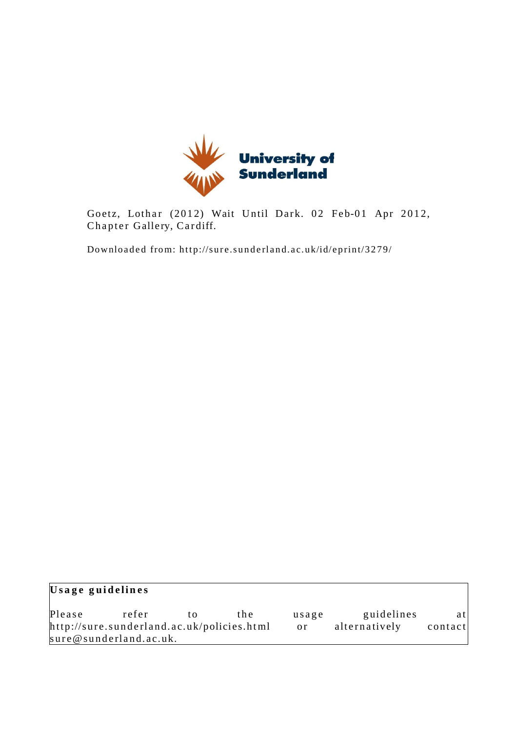

Goetz, Lothar (2012) Wait Until Dark. 02 Feb-01 Apr 2012, Chapter Gallery, Cardiff.

Downloaded from: http://sure.sunderland.ac.uk/id/eprint/3279/

| Usage guidelines                           |                        |    |       |       |               |         |
|--------------------------------------------|------------------------|----|-------|-------|---------------|---------|
| Please                                     | refer                  | tΩ | t h e | usage | guidelines    | atl     |
| http://sure.sunderland.ac.uk/policies.html |                        |    |       | or.   | alternatively | contact |
|                                            | sure@sunderland.ac.uk. |    |       |       |               |         |